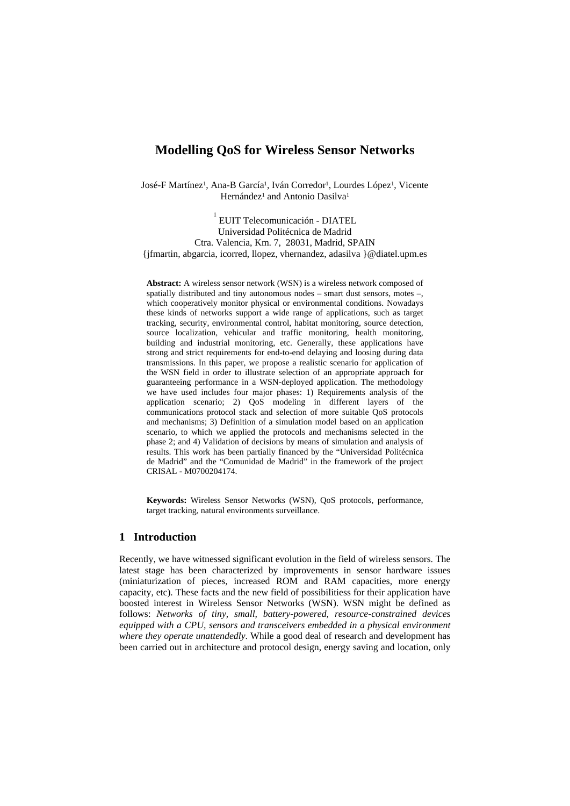# **Modelling QoS for Wireless Sensor Networks**

José-F Martínez<sup>1</sup>, Ana-B García<sup>1</sup>, Iván Corredor<sup>1</sup>, Lourdes López<sup>1</sup>, Vicente Hernández<sup>1</sup> and Antonio Dasilva<sup>1</sup>

1 EUIT Telecomunicación - DIATEL Universidad Politécnica de Madrid Ctra. Valencia, Km. 7, 28031, Madrid, SPAIN {jfmartin, abgarcia, icorred, llopez, vhernandez, adasilva }@diatel.upm.es

**Abstract:** A wireless sensor network (WSN) is a wireless network composed of spatially distributed and tiny autonomous nodes – smart dust sensors, motes –, which cooperatively monitor physical or environmental conditions. Nowadays these kinds of networks support a wide range of applications, such as target tracking, security, environmental control, habitat monitoring, source detection, source localization, vehicular and traffic monitoring, health monitoring, building and industrial monitoring, etc. Generally, these applications have strong and strict requirements for end-to-end delaying and loosing during data transmissions. In this paper, we propose a realistic scenario for application of the WSN field in order to illustrate selection of an appropriate approach for guaranteeing performance in a WSN-deployed application. The methodology we have used includes four major phases: 1) Requirements analysis of the application scenario; 2) QoS modeling in different layers of the communications protocol stack and selection of more suitable QoS protocols and mechanisms; 3) Definition of a simulation model based on an application scenario, to which we applied the protocols and mechanisms selected in the phase 2; and 4) Validation of decisions by means of simulation and analysis of results. This work has been partially financed by the "Universidad Politécnica de Madrid" and the "Comunidad de Madrid" in the framework of the project CRISAL - M0700204174.

**Keywords:** Wireless Sensor Networks (WSN), QoS protocols, performance, target tracking, natural environments surveillance.

### **1 Introduction**

Recently, we have witnessed significant evolution in the field of wireless sensors. The latest stage has been characterized by improvements in sensor hardware issues (miniaturization of pieces, increased ROM and RAM capacities, more energy capacity, etc). These facts and the new field of possibilitiess for their application have boosted interest in Wireless Sensor Networks (WSN). WSN might be defined as follows: *Networks of tiny, small, battery-powered, resource-constrained devices equipped with a CPU, sensors and transceivers embedded in a physical environment where they operate unattendedly*. While a good deal of research and development has been carried out in architecture and protocol design, energy saving and location, only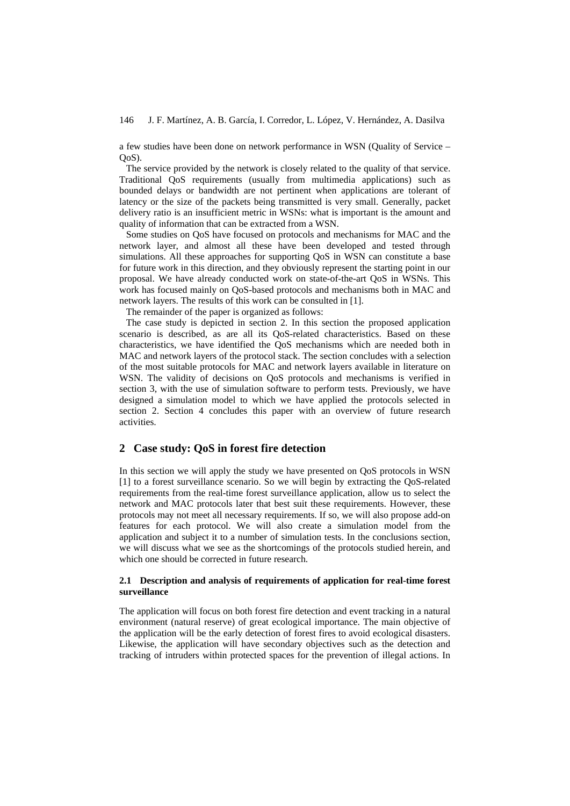a few studies have been done on network performance in WSN (Quality of Service – QoS).

The service provided by the network is closely related to the quality of that service. Traditional QoS requirements (usually from multimedia applications) such as bounded delays or bandwidth are not pertinent when applications are tolerant of latency or the size of the packets being transmitted is very small. Generally, packet delivery ratio is an insufficient metric in WSNs: what is important is the amount and quality of information that can be extracted from a WSN.

Some studies on QoS have focused on protocols and mechanisms for MAC and the network layer, and almost all these have been developed and tested through simulations. All these approaches for supporting QoS in WSN can constitute a base for future work in this direction, and they obviously represent the starting point in our proposal. We have already conducted work on state-of-the-art QoS in WSNs. This work has focused mainly on QoS-based protocols and mechanisms both in MAC and network layers. The results of this work can be consulted in [1].

The remainder of the paper is organized as follows:

The case study is depicted in section 2. In this section the proposed application scenario is described, as are all its QoS-related characteristics. Based on these characteristics, we have identified the QoS mechanisms which are needed both in MAC and network layers of the protocol stack. The section concludes with a selection of the most suitable protocols for MAC and network layers available in literature on WSN. The validity of decisions on QoS protocols and mechanisms is verified in section 3, with the use of simulation software to perform tests. Previously, we have designed a simulation model to which we have applied the protocols selected in section 2. Section 4 concludes this paper with an overview of future research activities.

### **2 Case study: QoS in forest fire detection**

In this section we will apply the study we have presented on QoS protocols in WSN [1] to a forest surveillance scenario. So we will begin by extracting the QoS-related requirements from the real-time forest surveillance application, allow us to select the network and MAC protocols later that best suit these requirements. However, these protocols may not meet all necessary requirements. If so, we will also propose add-on features for each protocol. We will also create a simulation model from the application and subject it to a number of simulation tests. In the conclusions section, we will discuss what we see as the shortcomings of the protocols studied herein, and which one should be corrected in future research.

### **2.1 Description and analysis of requirements of application for real-time forest surveillance**

The application will focus on both forest fire detection and event tracking in a natural environment (natural reserve) of great ecological importance. The main objective of the application will be the early detection of forest fires to avoid ecological disasters. Likewise, the application will have secondary objectives such as the detection and tracking of intruders within protected spaces for the prevention of illegal actions. In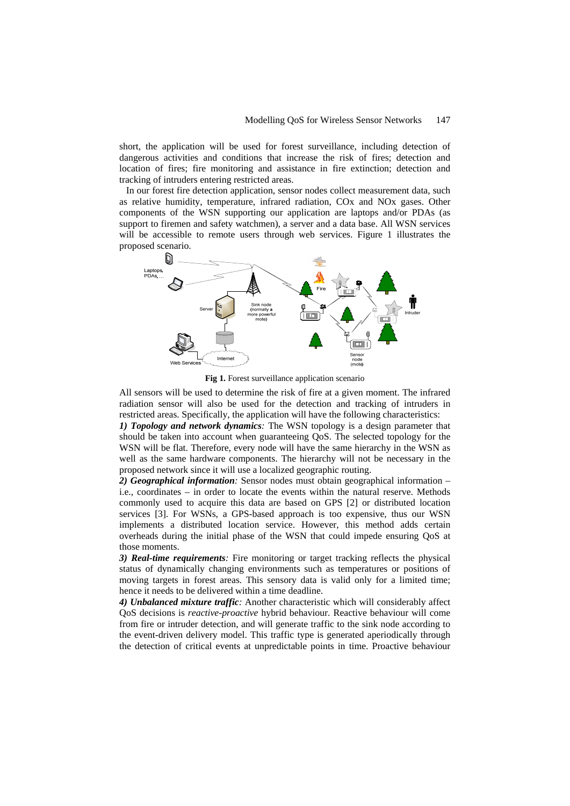short, the application will be used for forest surveillance, including detection of dangerous activities and conditions that increase the risk of fires; detection and location of fires; fire monitoring and assistance in fire extinction; detection and tracking of intruders entering restricted areas.

In our forest fire detection application, sensor nodes collect measurement data, such as relative humidity, temperature, infrared radiation, COx and NOx gases. Other components of the WSN supporting our application are laptops and/or PDAs (as support to firemen and safety watchmen), a server and a data base. All WSN services will be accessible to remote users through web services. Figure 1 illustrates the proposed scenario.



**Fig 1.** Forest surveillance application scenario

All sensors will be used to determine the risk of fire at a given moment. The infrared radiation sensor will also be used for the detection and tracking of intruders in restricted areas. Specifically, the application will have the following characteristics:

*1) Topology and network dynamics:* The WSN topology is a design parameter that should be taken into account when guaranteeing QoS. The selected topology for the WSN will be flat. Therefore, every node will have the same hierarchy in the WSN as well as the same hardware components. The hierarchy will not be necessary in the proposed network since it will use a localized geographic routing.

*2) Geographical information:* Sensor nodes must obtain geographical information – i.e., coordinates – in order to locate the events within the natural reserve. Methods commonly used to acquire this data are based on GPS [2] or distributed location services [3]. For WSNs, a GPS-based approach is too expensive, thus our WSN implements a distributed location service. However, this method adds certain overheads during the initial phase of the WSN that could impede ensuring QoS at those moments.

*3) Real-time requirements:* Fire monitoring or target tracking reflects the physical status of dynamically changing environments such as temperatures or positions of moving targets in forest areas. This sensory data is valid only for a limited time; hence it needs to be delivered within a time deadline.

*4) Unbalanced mixture traffic:* Another characteristic which will considerably affect QoS decisions is *reactive-proactive* hybrid behaviour. Reactive behaviour will come from fire or intruder detection, and will generate traffic to the sink node according to the event-driven delivery model. This traffic type is generated aperiodically through the detection of critical events at unpredictable points in time. Proactive behaviour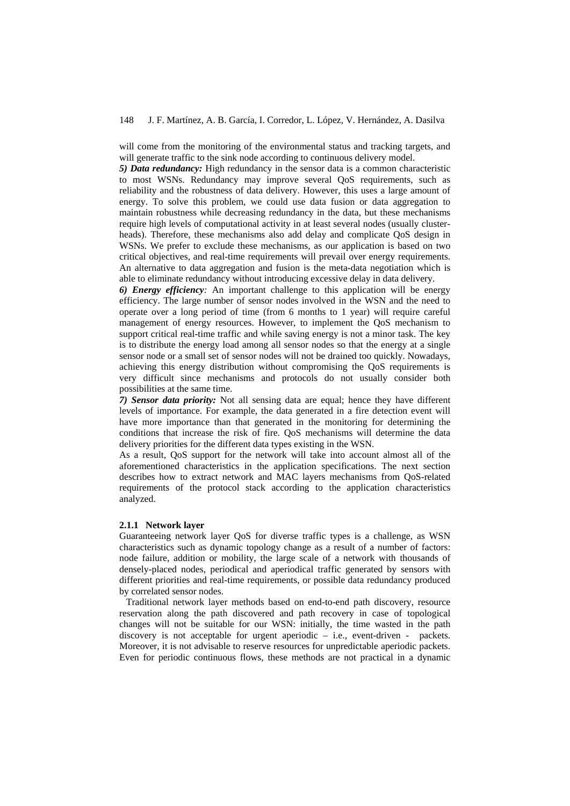will come from the monitoring of the environmental status and tracking targets, and will generate traffic to the sink node according to continuous delivery model.

*5) Data redundancy:* High redundancy in the sensor data is a common characteristic to most WSNs. Redundancy may improve several QoS requirements, such as reliability and the robustness of data delivery. However, this uses a large amount of energy. To solve this problem, we could use data fusion or data aggregation to maintain robustness while decreasing redundancy in the data, but these mechanisms require high levels of computational activity in at least several nodes (usually clusterheads). Therefore, these mechanisms also add delay and complicate QoS design in WSNs. We prefer to exclude these mechanisms, as our application is based on two critical objectives, and real-time requirements will prevail over energy requirements. An alternative to data aggregation and fusion is the meta-data negotiation which is able to eliminate redundancy without introducing excessive delay in data delivery.

*6) Energy efficiency:* An important challenge to this application will be energy efficiency. The large number of sensor nodes involved in the WSN and the need to operate over a long period of time (from 6 months to 1 year) will require careful management of energy resources. However, to implement the QoS mechanism to support critical real-time traffic and while saving energy is not a minor task. The key is to distribute the energy load among all sensor nodes so that the energy at a single sensor node or a small set of sensor nodes will not be drained too quickly. Nowadays, achieving this energy distribution without compromising the QoS requirements is very difficult since mechanisms and protocols do not usually consider both possibilities at the same time.

*7) Sensor data priority:* Not all sensing data are equal; hence they have different levels of importance. For example, the data generated in a fire detection event will have more importance than that generated in the monitoring for determining the conditions that increase the risk of fire. QoS mechanisms will determine the data delivery priorities for the different data types existing in the WSN.

As a result, QoS support for the network will take into account almost all of the aforementioned characteristics in the application specifications. The next section describes how to extract network and MAC layers mechanisms from QoS-related requirements of the protocol stack according to the application characteristics analyzed.

#### **2.1.1 Network layer**

Guaranteeing network layer QoS for diverse traffic types is a challenge, as WSN characteristics such as dynamic topology change as a result of a number of factors: node failure, addition or mobility, the large scale of a network with thousands of densely-placed nodes, periodical and aperiodical traffic generated by sensors with different priorities and real-time requirements, or possible data redundancy produced by correlated sensor nodes.

Traditional network layer methods based on end-to-end path discovery, resource reservation along the path discovered and path recovery in case of topological changes will not be suitable for our WSN: initially, the time wasted in the path discovery is not acceptable for urgent aperiodic – i.e., event-driven - packets. Moreover, it is not advisable to reserve resources for unpredictable aperiodic packets. Even for periodic continuous flows, these methods are not practical in a dynamic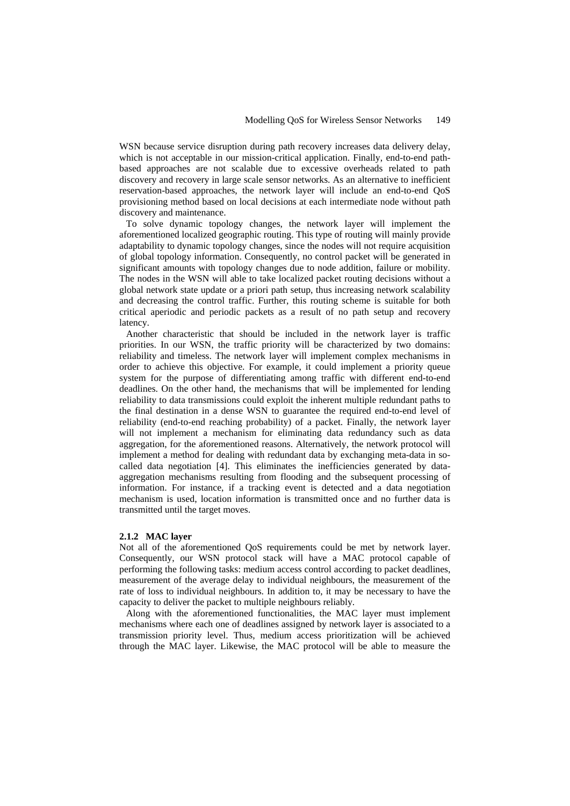WSN because service disruption during path recovery increases data delivery delay, which is not acceptable in our mission-critical application. Finally, end-to-end pathbased approaches are not scalable due to excessive overheads related to path discovery and recovery in large scale sensor networks. As an alternative to inefficient reservation-based approaches, the network layer will include an end-to-end QoS provisioning method based on local decisions at each intermediate node without path discovery and maintenance.

To solve dynamic topology changes, the network layer will implement the aforementioned localized geographic routing. This type of routing will mainly provide adaptability to dynamic topology changes, since the nodes will not require acquisition of global topology information. Consequently, no control packet will be generated in significant amounts with topology changes due to node addition, failure or mobility. The nodes in the WSN will able to take localized packet routing decisions without a global network state update or a priori path setup, thus increasing network scalability and decreasing the control traffic. Further, this routing scheme is suitable for both critical aperiodic and periodic packets as a result of no path setup and recovery latency.

Another characteristic that should be included in the network layer is traffic priorities. In our WSN, the traffic priority will be characterized by two domains: reliability and timeless. The network layer will implement complex mechanisms in order to achieve this objective. For example, it could implement a priority queue system for the purpose of differentiating among traffic with different end-to-end deadlines. On the other hand, the mechanisms that will be implemented for lending reliability to data transmissions could exploit the inherent multiple redundant paths to the final destination in a dense WSN to guarantee the required end-to-end level of reliability (end-to-end reaching probability) of a packet. Finally, the network layer will not implement a mechanism for eliminating data redundancy such as data aggregation, for the aforementioned reasons. Alternatively, the network protocol will implement a method for dealing with redundant data by exchanging meta-data in socalled data negotiation [4]. This eliminates the inefficiencies generated by dataaggregation mechanisms resulting from flooding and the subsequent processing of information. For instance, if a tracking event is detected and a data negotiation mechanism is used, location information is transmitted once and no further data is transmitted until the target moves.

#### **2.1.2 MAC layer**

Not all of the aforementioned QoS requirements could be met by network layer. Consequently, our WSN protocol stack will have a MAC protocol capable of performing the following tasks: medium access control according to packet deadlines, measurement of the average delay to individual neighbours, the measurement of the rate of loss to individual neighbours. In addition to, it may be necessary to have the capacity to deliver the packet to multiple neighbours reliably.

Along with the aforementioned functionalities, the MAC layer must implement mechanisms where each one of deadlines assigned by network layer is associated to a transmission priority level. Thus, medium access prioritization will be achieved through the MAC layer. Likewise, the MAC protocol will be able to measure the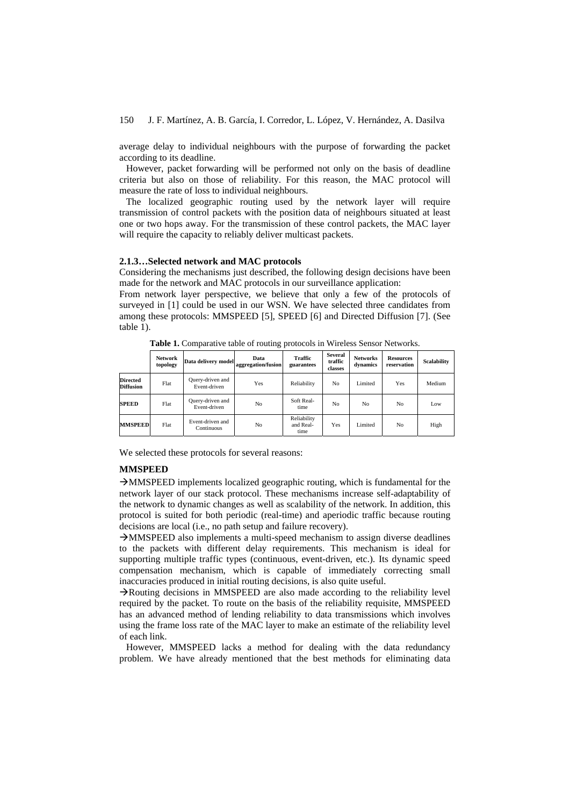average delay to individual neighbours with the purpose of forwarding the packet according to its deadline.

However, packet forwarding will be performed not only on the basis of deadline criteria but also on those of reliability. For this reason, the MAC protocol will measure the rate of loss to individual neighbours.

The localized geographic routing used by the network layer will require transmission of control packets with the position data of neighbours situated at least one or two hops away. For the transmission of these control packets, the MAC layer will require the capacity to reliably deliver multicast packets.

#### **2.1.3…Selected network and MAC protocols**

Considering the mechanisms just described, the following design decisions have been made for the network and MAC protocols in our surveillance application:

From network layer perspective, we believe that only a few of the protocols of surveyed in [1] could be used in our WSN. We have selected three candidates from among these protocols: MMSPEED [5], SPEED [6] and Directed Diffusion [7]. (See table 1).

|                                     | <b>Network</b><br>topology | Data delivery model              | Data<br>aggregation/fusion | Traffic<br>guarantees            | <b>Several</b><br>traffic<br>classes | <b>Networks</b><br>dynamics | <b>Resources</b><br>reservation | <b>Scalability</b> |
|-------------------------------------|----------------------------|----------------------------------|----------------------------|----------------------------------|--------------------------------------|-----------------------------|---------------------------------|--------------------|
| <b>Directed</b><br><b>Diffusion</b> | Flat                       | Query-driven and<br>Event-driven | Yes                        | Reliability                      | No                                   | Limited                     | Yes                             | Medium             |
| <b>SPEED</b>                        | Flat                       | Query-driven and<br>Event-driven | No                         | Soft Real-<br>time               | No                                   | No                          | No                              | Low                |
| <b>MMSPEED</b>                      | Flat                       | Event-driven and<br>Continuous   | No                         | Reliability<br>and Real-<br>time | Yes                                  | Limited                     | No                              | High               |

**Table 1.** Comparative table of routing protocols in Wireless Sensor Networks.

We selected these protocols for several reasons:

### **MMSPEED**

 $\rightarrow$  MMSPEED implements localized geographic routing, which is fundamental for the network layer of our stack protocol. These mechanisms increase self-adaptability of the network to dynamic changes as well as scalability of the network. In addition, this protocol is suited for both periodic (real-time) and aperiodic traffic because routing decisions are local (i.e., no path setup and failure recovery).

 $\rightarrow$ MMSPEED also implements a multi-speed mechanism to assign diverse deadlines to the packets with different delay requirements. This mechanism is ideal for supporting multiple traffic types (continuous, event-driven, etc.). Its dynamic speed compensation mechanism, which is capable of immediately correcting small inaccuracies produced in initial routing decisions, is also quite useful.

 $\rightarrow$ Routing decisions in MMSPEED are also made according to the reliability level required by the packet. To route on the basis of the reliability requisite, MMSPEED has an advanced method of lending reliability to data transmissions which involves using the frame loss rate of the MAC layer to make an estimate of the reliability level of each link.

However, MMSPEED lacks a method for dealing with the data redundancy problem. We have already mentioned that the best methods for eliminating data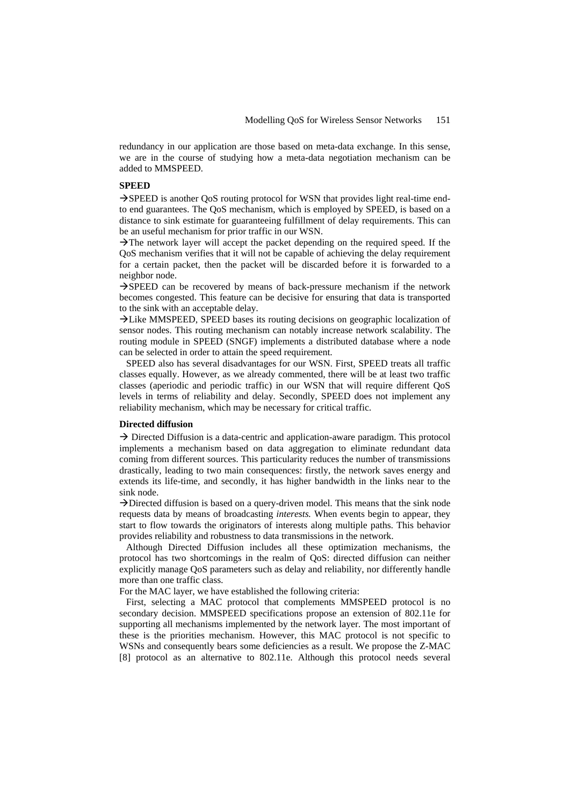redundancy in our application are those based on meta-data exchange. In this sense, we are in the course of studying how a meta-data negotiation mechanism can be added to MMSPEED.

### **SPEED**

 $\rightarrow$  SPEED is another OoS routing protocol for WSN that provides light real-time endto end guarantees. The QoS mechanism, which is employed by SPEED, is based on a distance to sink estimate for guaranteeing fulfillment of delay requirements. This can be an useful mechanism for prior traffic in our WSN.

 $\rightarrow$  The network layer will accept the packet depending on the required speed. If the QoS mechanism verifies that it will not be capable of achieving the delay requirement for a certain packet, then the packet will be discarded before it is forwarded to a neighbor node.

 $\rightarrow$  SPEED can be recovered by means of back-pressure mechanism if the network becomes congested. This feature can be decisive for ensuring that data is transported to the sink with an acceptable delay.

 $\rightarrow$  Like MMSPEED, SPEED bases its routing decisions on geographic localization of sensor nodes. This routing mechanism can notably increase network scalability. The routing module in SPEED (SNGF) implements a distributed database where a node can be selected in order to attain the speed requirement.

SPEED also has several disadvantages for our WSN. First, SPEED treats all traffic classes equally. However, as we already commented, there will be at least two traffic classes (aperiodic and periodic traffic) in our WSN that will require different QoS levels in terms of reliability and delay. Secondly, SPEED does not implement any reliability mechanism, which may be necessary for critical traffic.

#### **Directed diffusion**

 $\rightarrow$  Directed Diffusion is a data-centric and application-aware paradigm. This protocol implements a mechanism based on data aggregation to eliminate redundant data coming from different sources. This particularity reduces the number of transmissions drastically, leading to two main consequences: firstly, the network saves energy and extends its life-time, and secondly, it has higher bandwidth in the links near to the sink node.

 $\rightarrow$  Directed diffusion is based on a query-driven model. This means that the sink node requests data by means of broadcasting *interests.* When events begin to appear, they start to flow towards the originators of interests along multiple paths. This behavior provides reliability and robustness to data transmissions in the network.

Although Directed Diffusion includes all these optimization mechanisms, the protocol has two shortcomings in the realm of QoS: directed diffusion can neither explicitly manage QoS parameters such as delay and reliability, nor differently handle more than one traffic class.

For the MAC layer, we have established the following criteria:

First, selecting a MAC protocol that complements MMSPEED protocol is no secondary decision. MMSPEED specifications propose an extension of 802.11e for supporting all mechanisms implemented by the network layer. The most important of these is the priorities mechanism. However, this MAC protocol is not specific to WSNs and consequently bears some deficiencies as a result. We propose the Z-MAC [8] protocol as an alternative to 802.11e. Although this protocol needs several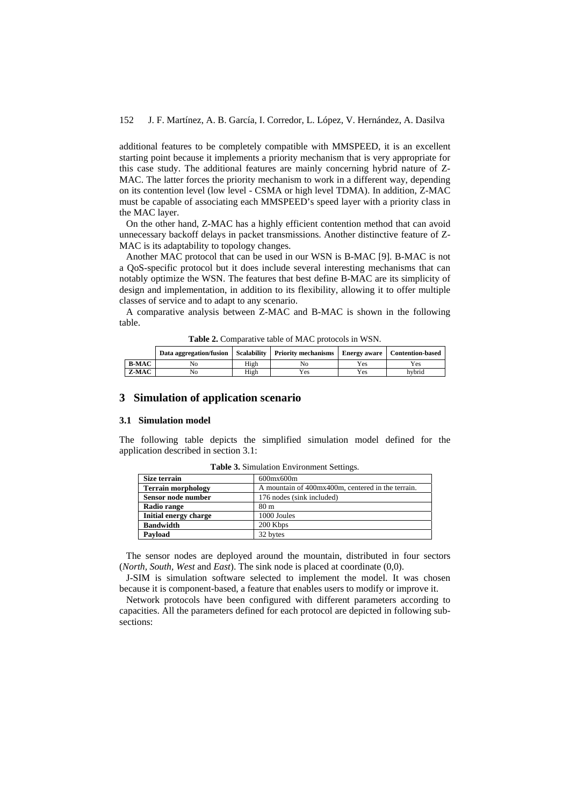additional features to be completely compatible with MMSPEED, it is an excellent starting point because it implements a priority mechanism that is very appropriate for this case study. The additional features are mainly concerning hybrid nature of Z-MAC. The latter forces the priority mechanism to work in a different way, depending on its contention level (low level - CSMA or high level TDMA). In addition, Z-MAC must be capable of associating each MMSPEED's speed layer with a priority class in the MAC layer.

On the other hand, Z-MAC has a highly efficient contention method that can avoid unnecessary backoff delays in packet transmissions. Another distinctive feature of Z-MAC is its adaptability to topology changes.

Another MAC protocol that can be used in our WSN is B-MAC [9]. B-MAC is not a QoS-specific protocol but it does include several interesting mechanisms that can notably optimize the WSN. The features that best define B-MAC are its simplicity of design and implementation, in addition to its flexibility, allowing it to offer multiple classes of service and to adapt to any scenario.

A comparative analysis between Z-MAC and B-MAC is shown in the following table.

**Table 2.** Comparative table of MAC protocols in WSN.

|              | Data aggregation/fusion   Scalability   Priority mechanisms   Energy aware   Contention-based |      |     |     |        |
|--------------|-----------------------------------------------------------------------------------------------|------|-----|-----|--------|
| <b>B-MAC</b> | No                                                                                            | High | Nc  | Yes | Yes    |
| Z-MAC        | Nο                                                                                            | High | Yes | Yes | hybrid |
|              |                                                                                               |      |     |     |        |

## **3 Simulation of application scenario**

#### **3.1 Simulation model**

The following table depicts the simplified simulation model defined for the application described in section 3.1:

| Size terrain              | $600$ mx $600$ m                                  |  |  |
|---------------------------|---------------------------------------------------|--|--|
| <b>Terrain morphology</b> | A mountain of 400mx400m, centered in the terrain. |  |  |
| Sensor node number        | 176 nodes (sink included)                         |  |  |
| Radio range               | 80 <sub>m</sub>                                   |  |  |
| Initial energy charge     | 1000 Joules                                       |  |  |
| <b>Bandwidth</b>          | 200 Kbps                                          |  |  |
| Payload                   | 32 bytes                                          |  |  |

**Table 3.** Simulation Environment Settings.

The sensor nodes are deployed around the mountain, distributed in four sectors (*North, South, West* and *East*). The sink node is placed at coordinate (0,0).

J-SIM is simulation software selected to implement the model. It was chosen because it is component-based, a feature that enables users to modify or improve it.

Network protocols have been configured with different parameters according to capacities. All the parameters defined for each protocol are depicted in following subsections: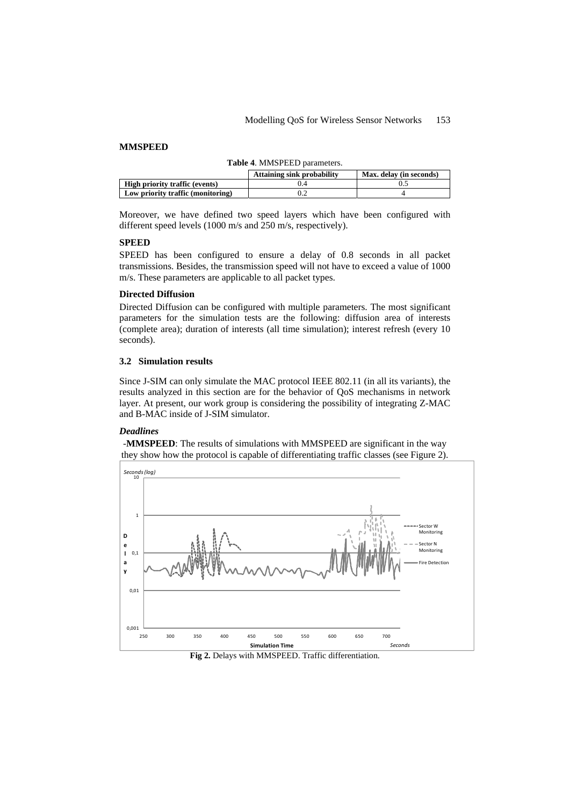### **MMSPEED**

|  | <b>Table 4. MMSPEED parameters.</b> |  |
|--|-------------------------------------|--|
|--|-------------------------------------|--|

|                                   | <b>Attaining sink probability</b> | Max. delay (in seconds) |
|-----------------------------------|-----------------------------------|-------------------------|
| High priority traffic (events)    |                                   |                         |
| Low priority traffic (monitoring) |                                   |                         |

Moreover, we have defined two speed layers which have been configured with different speed levels (1000 m/s and 250 m/s, respectively).

### **SPEED**

SPEED has been configured to ensure a delay of 0.8 seconds in all packet transmissions. Besides, the transmission speed will not have to exceed a value of 1000 m/s. These parameters are applicable to all packet types.

### **Directed Diffusion**

Directed Diffusion can be configured with multiple parameters. The most significant parameters for the simulation tests are the following: diffusion area of interests (complete area); duration of interests (all time simulation); interest refresh (every 10 seconds).

## **3.2 Simulation results**

Since J-SIM can only simulate the MAC protocol IEEE 802.11 (in all its variants), the results analyzed in this section are for the behavior of QoS mechanisms in network layer. At present, our work group is considering the possibility of integrating Z-MAC and B-MAC inside of J-SIM simulator.

### *Deadlines*

-**MMSPEED**: The results of simulations with MMSPEED are significant in the way they show how the protocol is capable of differentiating traffic classes (see Figure 2).



**Fig 2.** Delays with MMSPEED. Traffic differentiation.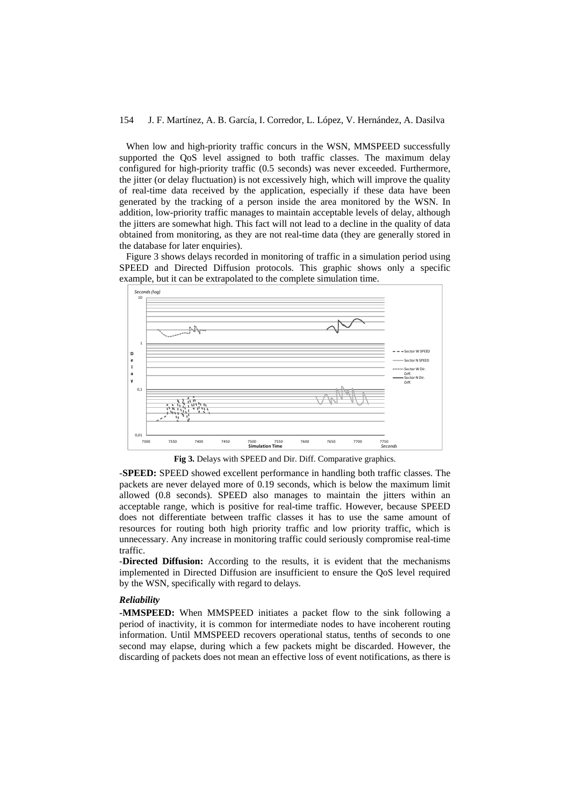When low and high-priority traffic concurs in the WSN, MMSPEED successfully supported the QoS level assigned to both traffic classes. The maximum delay configured for high-priority traffic (0.5 seconds) was never exceeded. Furthermore, the jitter (or delay fluctuation) is not excessively high, which will improve the quality of real-time data received by the application, especially if these data have been generated by the tracking of a person inside the area monitored by the WSN. In addition, low-priority traffic manages to maintain acceptable levels of delay, although the jitters are somewhat high. This fact will not lead to a decline in the quality of data obtained from monitoring, as they are not real-time data (they are generally stored in the database for later enquiries).

Figure 3 shows delays recorded in monitoring of traffic in a simulation period using SPEED and Directed Diffusion protocols. This graphic shows only a specific example, but it can be extrapolated to the complete simulation time.



**Fig 3.** Delays with SPEED and Dir. Diff. Comparative graphics.

-**SPEED:** SPEED showed excellent performance in handling both traffic classes. The packets are never delayed more of 0.19 seconds, which is below the maximum limit allowed (0.8 seconds). SPEED also manages to maintain the jitters within an acceptable range, which is positive for real-time traffic. However, because SPEED does not differentiate between traffic classes it has to use the same amount of resources for routing both high priority traffic and low priority traffic, which is unnecessary. Any increase in monitoring traffic could seriously compromise real-time traffic.

-**Directed Diffusion:** According to the results, it is evident that the mechanisms implemented in Directed Diffusion are insufficient to ensure the QoS level required by the WSN, specifically with regard to delays.

### *Reliability*

**-MMSPEED:** When MMSPEED initiates a packet flow to the sink following a period of inactivity, it is common for intermediate nodes to have incoherent routing information. Until MMSPEED recovers operational status, tenths of seconds to one second may elapse, during which a few packets might be discarded. However, the discarding of packets does not mean an effective loss of event notifications, as there is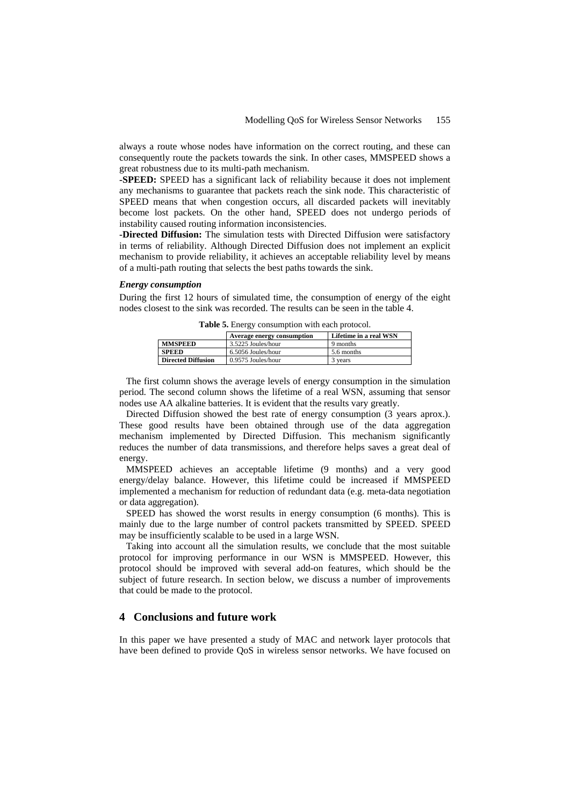always a route whose nodes have information on the correct routing, and these can consequently route the packets towards the sink. In other cases, MMSPEED shows a great robustness due to its multi-path mechanism.

**-SPEED:** SPEED has a significant lack of reliability because it does not implement any mechanisms to guarantee that packets reach the sink node. This characteristic of SPEED means that when congestion occurs, all discarded packets will inevitably become lost packets. On the other hand, SPEED does not undergo periods of instability caused routing information inconsistencies.

**-Directed Diffusion:** The simulation tests with Directed Diffusion were satisfactory in terms of reliability. Although Directed Diffusion does not implement an explicit mechanism to provide reliability, it achieves an acceptable reliability level by means of a multi-path routing that selects the best paths towards the sink.

### *Energy consumption*

During the first 12 hours of simulated time, the consumption of energy of the eight nodes closest to the sink was recorded. The results can be seen in the table 4.

|                           | Average energy consumption | Lifetime in a real WSN |  |  |
|---------------------------|----------------------------|------------------------|--|--|
| <b>MMSPEED</b>            | 3.5225 Joules/hour         | 9 months               |  |  |
| <b>SPEED</b>              | 6.5056 Joules/hour         | 5.6 months             |  |  |
| <b>Directed Diffusion</b> | 0.9575 Joules/hour         | 3 vears                |  |  |

**Table 5.** Energy consumption with each protocol.

The first column shows the average levels of energy consumption in the simulation period. The second column shows the lifetime of a real WSN, assuming that sensor nodes use AA alkaline batteries. It is evident that the results vary greatly.

Directed Diffusion showed the best rate of energy consumption (3 years aprox.). These good results have been obtained through use of the data aggregation mechanism implemented by Directed Diffusion. This mechanism significantly reduces the number of data transmissions, and therefore helps saves a great deal of energy.

MMSPEED achieves an acceptable lifetime (9 months) and a very good energy/delay balance. However, this lifetime could be increased if MMSPEED implemented a mechanism for reduction of redundant data (e.g. meta-data negotiation or data aggregation).

SPEED has showed the worst results in energy consumption (6 months). This is mainly due to the large number of control packets transmitted by SPEED. SPEED may be insufficiently scalable to be used in a large WSN.

Taking into account all the simulation results, we conclude that the most suitable protocol for improving performance in our WSN is MMSPEED. However, this protocol should be improved with several add-on features, which should be the subject of future research. In section below, we discuss a number of improvements that could be made to the protocol.

### **4 Conclusions and future work**

In this paper we have presented a study of MAC and network layer protocols that have been defined to provide QoS in wireless sensor networks. We have focused on